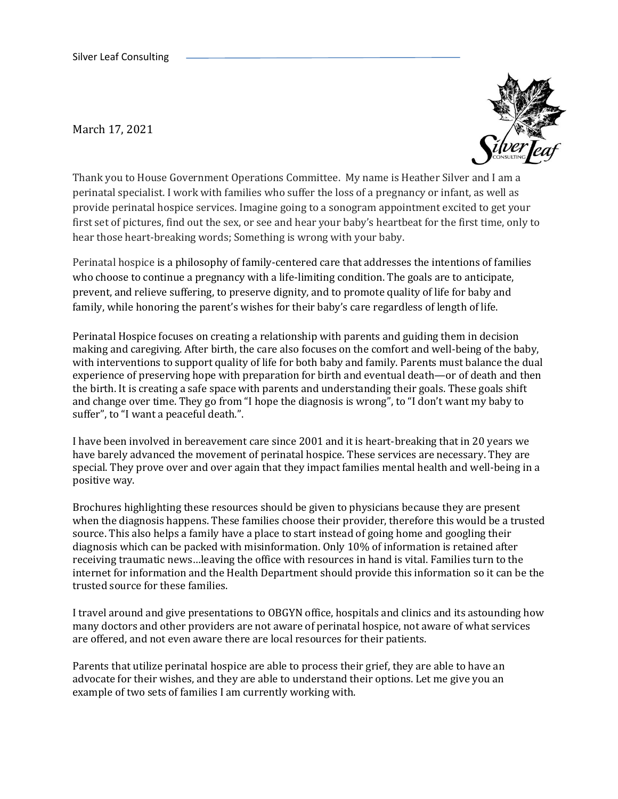March 17, 2021



Thank you to House Government Operations Committee. My name is Heather Silver and I am a perinatal specialist. I work with families who suffer the loss of a pregnancy or infant, as well as provide perinatal hospice services. Imagine going to a sonogram appointment excited to get your first set of pictures, find out the sex, or see and hear your baby's heartbeat for the first time, only to hear those heart-breaking words; Something is wrong with your baby.

Perinatal hospice is a philosophy of family-centered care that addresses the intentions of families who choose to continue a pregnancy with a life-limiting condition. The goals are to anticipate, prevent, and relieve suffering, to preserve dignity, and to promote quality of life for baby and family, while honoring the parent's wishes for their baby's care regardless of length of life.

Perinatal Hospice focuses on creating a relationship with parents and guiding them in decision making and caregiving. After birth, the care also focuses on the comfort and well-being of the baby, with interventions to support quality of life for both baby and family. Parents must balance the dual experience of preserving hope with preparation for birth and eventual death—or of death and then the birth. It is creating a safe space with parents and understanding their goals. These goals shift and change over time. They go from "I hope the diagnosis is wrong", to "I don't want my baby to suffer", to "I want a peaceful death.".

I have been involved in bereavement care since 2001 and it is heart-breaking that in 20 years we have barely advanced the movement of perinatal hospice. These services are necessary. They are special. They prove over and over again that they impact families mental health and well-being in a positive way.

Brochures highlighting these resources should be given to physicians because they are present when the diagnosis happens. These families choose their provider, therefore this would be a trusted source. This also helps a family have a place to start instead of going home and googling their diagnosis which can be packed with misinformation. Only 10% of information is retained after receiving traumatic news…leaving the office with resources in hand is vital. Families turn to the internet for information and the Health Department should provide this information so it can be the trusted source for these families.

I travel around and give presentations to OBGYN office, hospitals and clinics and its astounding how many doctors and other providers are not aware of perinatal hospice, not aware of what services are offered, and not even aware there are local resources for their patients.

Parents that utilize perinatal hospice are able to process their grief, they are able to have an advocate for their wishes, and they are able to understand their options. Let me give you an example of two sets of families I am currently working with.